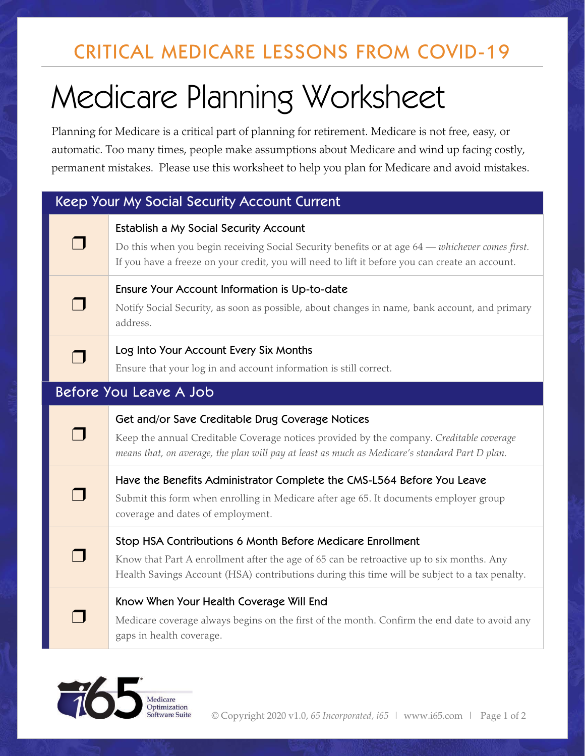# CRITICAL MEDICARE LESSONS FROM COVID-19

# Medicare Planning Worksheet

Planning for Medicare is a critical part of planning for retirement. Medicare is not free, easy, or automatic. Too many times, people make assumptions about Medicare and wind up facing costly, permanent mistakes. Please use this worksheet to help you plan for Medicare and avoid mistakes.

# Keep Your My Social Security Account Current

# Establish a My Social Security Account

Do this when you begin receiving Social Security benefits or at age 64 — *whichever comes first*. If you have a freeze on your credit, you will need to lift it before you can create an account.

## Ensure Your Account Information is Up-to-date

Notify Social Security, as soon as possible, about changes in name, bank account, and primary address.

# **Log Into Your Account Every Six Months**

Ensure that your log in and account information is still correct.

# Before You Leave A Job

 $\Box$ 

 $\Box$ 

┓

 $\sqcap$ 

 $\Box$ 

 $\Box$ 

## Get and/or Save Creditable Drug Coverage Notices

Keep the annual Creditable Coverage notices provided by the company. *Creditable coverage means that, on average, the plan will pay at least as much as Medicare's standard Part D plan.*

## Have the Benefits Administrator Complete the CMS-L564 Before You Leave

Submit this form when enrolling in Medicare after age 65. It documents employer group coverage and dates of employment.

## Stop HSA Contributions 6 Month Before Medicare Enrollment

Know that Part A enrollment after the age of 65 can be retroactive up to six months. Any Health Savings Account (HSA) contributions during this time will be subject to a tax penalty.

## Know When Your Health Coverage Will End

Medicare coverage always begins on the first of the month. Confirm the end date to avoid any gaps in health coverage.